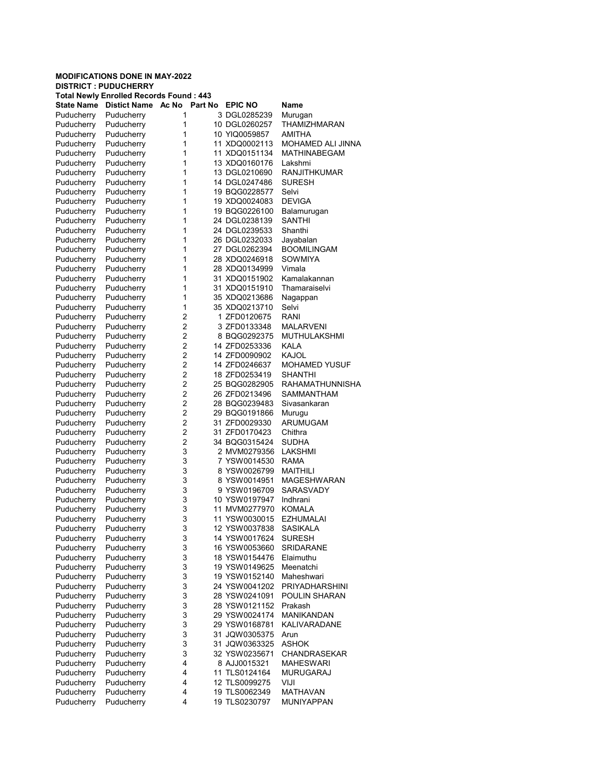## MODIFICATIONS DONE IN MAY-2022 DISTRICT : PUDUCHERRY

| <b>Total Newly Enrolled Records Found: 443</b> |                     |       |         |                |                       |  |  |  |
|------------------------------------------------|---------------------|-------|---------|----------------|-----------------------|--|--|--|
| <b>State Name</b>                              | <b>Distict Name</b> | Ac No | Part No | <b>EPIC NO</b> | Name                  |  |  |  |
| Puducherry                                     | Puducherry          | 1     |         | 3 DGL0285239   | Murugan               |  |  |  |
| Puducherry                                     | Puducherry          | 1     |         | 10 DGL0260257  | THAMIZHMARAN          |  |  |  |
| Puducherry                                     | Puducherry          | 1     |         | 10 YIQ0059857  | AMITHA                |  |  |  |
| Puducherry                                     | Puducherry          | 1     |         | 11 XDQ0002113  | MOHAMED ALI JINNA     |  |  |  |
| Puducherry                                     | Puducherry          | 1     |         | 11 XDQ0151134  | MATHINABEGAM          |  |  |  |
| Puducherry                                     | Puducherry          | 1     |         | 13 XDQ0160176  | Lakshmi               |  |  |  |
| Puducherry                                     | Puducherry          | 1     |         | 13 DGL0210690  | <b>RANJITHKUMAR</b>   |  |  |  |
| Puducherry                                     | Puducherry          | 1     |         | 14 DGL0247486  | SURESH                |  |  |  |
| Puducherry                                     | Puducherry          | 1     |         | 19 BQG0228577  | Selvi                 |  |  |  |
| Puducherry                                     | Puducherry          | 1     |         | 19 XDQ0024083  | <b>DEVIGA</b>         |  |  |  |
| Puducherry                                     | Puducherry          | 1     |         | 19 BQG0226100  | Balamurugan           |  |  |  |
| Puducherry                                     | Puducherry          | 1     |         | 24 DGL0238139  | SANTHI                |  |  |  |
| Puducherry                                     | Puducherry          | 1     |         | 24 DGL0239533  | Shanthi               |  |  |  |
| Puducherry                                     | Puducherry          | 1     |         | 26 DGL0232033  | Jayabalan             |  |  |  |
| Puducherry                                     | Puducherry          | 1     |         | 27 DGL0262394  | <b>BOOMILINGAM</b>    |  |  |  |
| Puducherry                                     | Puducherry          | 1     |         | 28 XDQ0246918  | SOWMIYA               |  |  |  |
| Puducherry                                     | Puducherry          | 1     |         | 28 XDQ0134999  | Vimala                |  |  |  |
| Puducherry                                     | Puducherry          | 1     |         | 31 XDQ0151902  | Kamalakannan          |  |  |  |
| Puducherry                                     | Puducherry          | 1     |         | 31 XDQ0151910  | Thamaraiselvi         |  |  |  |
| Puducherry                                     | Puducherry          | 1     |         | 35 XDQ0213686  | Nagappan              |  |  |  |
| Puducherry                                     | Puducherry          | 1     |         | 35 XDQ0213710  | Selvi                 |  |  |  |
| Puducherry                                     | Puducherry          | 2     |         | 1 ZFD0120675   | RANI                  |  |  |  |
| Puducherry                                     | Puducherry          | 2     |         | 3 ZFD0133348   | MALARVENI             |  |  |  |
| Puducherry                                     | Puducherry          | 2     |         | 8 BQG0292375   | MUTHULAKSHMI          |  |  |  |
| Puducherry                                     | Puducherry          | 2     |         | 14 ZFD0253336  | KALA                  |  |  |  |
| Puducherry                                     | Puducherry          | 2     |         | 14 ZFD0090902  | KAJOL                 |  |  |  |
| Puducherry                                     | Puducherry          | 2     |         | 14 ZFD0246637  | <b>MOHAMED YUSUF</b>  |  |  |  |
| Puducherry                                     | Puducherry          | 2     |         | 18 ZFD0253419  | SHANTHI               |  |  |  |
| Puducherry                                     | Puducherry          | 2     |         | 25 BQG0282905  | RAHAMATHUNNISHA       |  |  |  |
| Puducherry                                     | Puducherry          | 2     |         | 26 ZFD0213496  | SAMMANTHAM            |  |  |  |
| Puducherry                                     | Puducherry          | 2     |         | 28 BQG0239483  | Sivasankaran          |  |  |  |
| Puducherry                                     | Puducherry          | 2     |         | 29 BQG0191866  | Murugu                |  |  |  |
| Puducherry                                     | Puducherry          | 2     |         | 31 ZFD0029330  | ARUMUGAM              |  |  |  |
| Puducherry                                     | Puducherry          | 2     |         | 31 ZFD0170423  | Chithra               |  |  |  |
| Puducherry                                     | Puducherry          | 2     |         | 34 BQG0315424  | SUDHA                 |  |  |  |
| Puducherry                                     | Puducherry          | 3     |         | 2 MVM0279356   | LAKSHMI               |  |  |  |
| Puducherry                                     | Puducherry          | 3     |         | 7 YSW0014530   | RAMA                  |  |  |  |
| Puducherry                                     | Puducherry          | 3     |         | 8 YSW0026799   | MAITHILI              |  |  |  |
| Puducherry                                     | Puducherry          | 3     |         | 8 YSW0014951   | <b>MAGESHWARAN</b>    |  |  |  |
| Puducherry                                     | Puducherry          | 3     |         | 9 YSW0196709   | SARASVADY             |  |  |  |
| Puducherry                                     | Puducherry          | 3     |         | 10 YSW0197947  | Indhrani              |  |  |  |
| Puducherry                                     | Puducherry          | 3     |         | 11 MVM0277970  | KOMALA                |  |  |  |
| Puducherry                                     | Puducherry          | 3     |         | 11 YSW0030015  | EZHUMALAI             |  |  |  |
| Puducherry                                     | Puducherry          | 3     |         | 12 YSW0037838  | <b>SASIKALA</b>       |  |  |  |
| Puducherry                                     | Puducherry          | 3     |         | 14 YSW0017624  | <b>SURESH</b>         |  |  |  |
| Puducherry                                     | Puducherry          | 3     |         | 16 YSW0053660  | <b>SRIDARANE</b>      |  |  |  |
| Puducherry                                     | Puducherry          | 3     |         | 18 YSW0154476  | Elaimuthu             |  |  |  |
| Puducherry                                     | Puducherry          | 3     |         | 19 YSW0149625  | Meenatchi             |  |  |  |
| Puducherry                                     | Puducherry          | 3     |         | 19 YSW0152140  | Maheshwari            |  |  |  |
| Puducherry                                     | Puducherry          | 3     |         | 24 YSW0041202  | <b>PRIYADHARSHINI</b> |  |  |  |
| Puducherry                                     | Puducherry          | 3     |         | 28 YSW0241091  | POULIN SHARAN         |  |  |  |
| Puducherry                                     | Puducherry          | 3     |         | 28 YSW0121152  | Prakash               |  |  |  |
| Puducherry                                     | Puducherry          | 3     |         | 29 YSW0024174  | <b>MANIKANDAN</b>     |  |  |  |
| Puducherry                                     | Puducherry          | 3     |         | 29 YSW0168781  | KALIVARADANE          |  |  |  |
| Puducherry                                     | Puducherry          | 3     |         | 31 JQW0305375  | Arun                  |  |  |  |
| Puducherry                                     | Puducherry          | 3     |         | 31 JQW0363325  | ASHOK                 |  |  |  |
| Puducherry                                     | Puducherry          | 3     |         | 32 YSW0235671  | CHANDRASEKAR          |  |  |  |
| Puducherry                                     | Puducherry          | 4     |         | 8 AJJ0015321   | <b>MAHESWARI</b>      |  |  |  |
| Puducherry                                     | Puducherry          | 4     |         | 11 TLS0124164  | MURUGARAJ             |  |  |  |
| Puducherry                                     | Puducherry          | 4     |         | 12 TLS0099275  | VIJI                  |  |  |  |
| Puducherry                                     | Puducherry          | 4     |         | 19 TLS0062349  | MATHAVAN              |  |  |  |
| Puducherry                                     | Puducherry          | 4     |         | 19 TLS0230797  | MUNIYAPPAN            |  |  |  |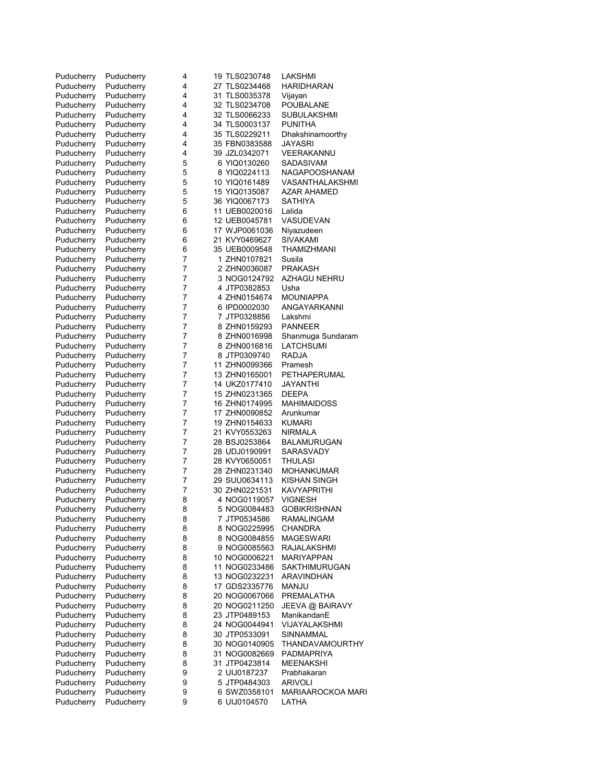| Puducherry | Puducherry | 4 | 19 TLS0230748 | LAKSHMI              |
|------------|------------|---|---------------|----------------------|
| Puducherry | Puducherry | 4 | 27 TLS0234468 | HARIDHARAN           |
| Puducherry | Puducherry | 4 | 31 TLS0035378 | Vijayan              |
| Puducherry | Puducherry | 4 | 32 TLS0234708 | POUBALANE            |
| Puducherry | Puducherry | 4 | 32 TLS0066233 | SUBULAKSHMI          |
| Puducherry | Puducherry | 4 | 34 TLS0003137 | PUNITHA              |
| Puducherry | Puducherry | 4 | 35 TLS0229211 | Dhakshinamoorthy     |
| Puducherry | Puducherry | 4 | 35 FBN0383588 | JAYASRI              |
| Puducherry | Puducherry | 4 | 39 JZL0342071 | VEERAKANNU           |
| Puducherry | Puducherry | 5 | 6 YIQ0130260  | SADASIVAM            |
| Puducherry | Puducherry | 5 | 8 YIQ0224113  | NAGAPOOSHANAM        |
| Puducherry | Puducherry | 5 | 10 YIQ0161489 | VASANTHALAKSHMI      |
| Puducherry | Puducherry | 5 | 15 YIQ0135087 | AZAR AHAMED          |
| Puducherry | Puducherry | 5 | 36 YIQ0067173 | SATHIYA              |
| Puducherry | Puducherry | 6 | 11 UEB0020016 | Lalida               |
| Puducherry | Puducherry | 6 | 12 UEB0045781 | VASUDEVAN            |
| Puducherry | Puducherry | 6 | 17 WJP0061036 | Niyazudeen           |
| Puducherry | Puducherry | 6 | 21 KVY0469627 | SIVAKAMI             |
| Puducherry | Puducherry | 6 | 35 UEB0009548 | THAMIZHMANI          |
| Puducherry | Puducherry | 7 | 1 ZHN0107821  | Susila               |
| Puducherry | Puducherry | 7 | 2 ZHN0036087  | <b>PRAKASH</b>       |
| Puducherry | Puducherry | 7 | 3 NOG0124792  | <b>AZHAGU NEHRU</b>  |
| Puducherry | Puducherry | 7 | 4 JTP0382853  | Usha                 |
| Puducherry | Puducherry | 7 | 4 ZHN0154674  | MOUNIAPPA            |
| Puducherry | Puducherry | 7 | 6 IPD0002030  | ANGAYARKANNI         |
| Puducherry | Puducherry | 7 | 7 JTP0328856  | Lakshmi              |
| Puducherry | Puducherry | 7 | 8 ZHN0159293  | <b>PANNEER</b>       |
| Puducherry | Puducherry | 7 | 8 ZHN0016998  | Shanmuga Sundaram    |
| Puducherry | Puducherry | 7 | 8 ZHN0016816  | LATCHSUMI            |
| Puducherry | Puducherry | 7 | 8 JTP0309740  | <b>RADJA</b>         |
| Puducherry | Puducherry | 7 | 11 ZHN0099366 | Pramesh              |
| Puducherry | Puducherry | 7 | 13 ZHN0165001 | PETHAPERUMAL         |
| Puducherry | Puducherry | 7 | 14 UKZ0177410 | JAYANTHI             |
| Puducherry | Puducherry | 7 | 15 ZHN0231365 | <b>DEEPA</b>         |
| Puducherry | Puducherry | 7 | 16 ZHN0174995 | MAHIMAIDOSS          |
| Puducherry | Puducherry | 7 | 17 ZHN0090852 | Arunkumar            |
| Puducherry | Puducherry | 7 | 19 ZHN0154633 | KUMARI               |
| Puducherry | Puducherry | 7 | 21 KVY0553263 | <b>NIRMALA</b>       |
| Puducherry | Puducherry | 7 | 28 BSJ0253864 | BALAMURUGAN          |
| Puducherry | Puducherry | 7 | 28 UDJ0190991 | SARASVADY            |
| Puducherry | Puducherry | 7 | 28 KVY0650051 | THULASI              |
| Puducherry | Puducherry | 7 | 28 ZHN0231340 | MOHANKUMAR           |
| Puducherry | Puducherry | 7 | 29 SUU0634113 | KISHAN SINGH         |
| Puducherry | Puducherry | 7 | 30 ZHN0221531 | KAVYAPRITHI          |
| Puducherry | Puducherry | 8 | 4 NOG0119057  | <b>VIGNESH</b>       |
| Puducherry | Puducherry | 8 | 5 NOG0084483  | <b>GOBIKRISHNAN</b>  |
| Puducherry | Puducherry | 8 | 7 JTP0534586  | <b>RAMALINGAM</b>    |
| Puducherry | Puducherry | 8 | 8 NOG0225995  | CHANDRA              |
| Puducherry | Puducherry | 8 | 8 NOG0084855  | MAGESWARI            |
| Puducherry | Puducherry | 8 | 9 NOG0085563  | RAJALAKSHMI          |
| Puducherry | Puducherry | 8 | 10 NOG0006221 | <b>MARIYAPPAN</b>    |
| Puducherry | Puducherry | 8 | 11 NOG0233486 | <b>SAKTHIMURUGAN</b> |
| Puducherry | Puducherry | 8 | 13 NOG0232231 | <b>ARAVINDHAN</b>    |
| Puducherry | Puducherry | 8 | 17 GDS2335776 | MANJU                |
| Puducherry | Puducherry | 8 | 20 NOG0067066 | PREMALATHA           |
| Puducherry | Puducherry | 8 | 20 NOG0211250 | JEEVA @ BAIRAVY      |
| Puducherry | Puducherry | 8 | 23 JTP0489153 | ManikandanE          |
| Puducherry | Puducherry | 8 | 24 NOG0044941 | VIJAYALAKSHMI        |
| Puducherry | Puducherry | 8 | 30 JTP0533091 | SINNAMMAL            |
| Puducherry | Puducherry | 8 | 30 NOG0140905 | THANDAVAMOURTHY      |
| Puducherry | Puducherry | 8 | 31 NOG0082669 | PADMAPRIYA           |
| Puducherry | Puducherry | 8 | 31 JTP0423814 | MEENAKSHI            |
| Puducherry | Puducherry | 9 | 2 UIJ0187237  | Prabhakaran          |
| Puducherry | Puducherry | 9 | 5 JTP0484303  | <b>ARIVOLI</b>       |
| Puducherry | Puducherry | 9 | 6 SWZ0358101  | MARIAAROCKOA MARI    |
| Puducherry | Puducherry | 9 | 6 UIJ0104570  | LATHA                |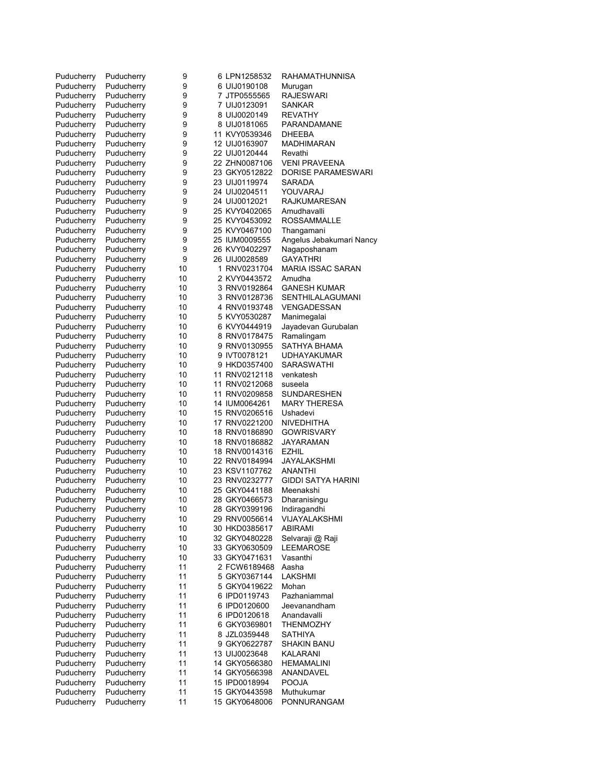| Puducherry               | Puducherry               | 9        | 6 LPN1258532                   | <b>RAHAMATHUNNISA</b>              |
|--------------------------|--------------------------|----------|--------------------------------|------------------------------------|
| Puducherry               | Puducherry               | 9        | 6 UIJ0190108                   | Murugan                            |
| Puducherry               | Puducherry               | 9        | 7 JTP0555565                   | <b>RAJESWARI</b>                   |
| Puducherry               | Puducherry               | 9        | 7 UIJ0123091                   | <b>SANKAR</b>                      |
| Puducherry               | Puducherry               | 9        | 8 UIJ0020149                   | <b>REVATHY</b>                     |
| Puducherry               | Puducherry               | 9        | 8 UIJ0181065                   | PARANDAMANE                        |
| Puducherry               | Puducherry               | 9        | 11 KVY0539346                  | DHEEBA                             |
| Puducherry               | Puducherry               | 9        | 12 UIJ0163907                  | <b>MADHIMARAN</b>                  |
| Puducherry               | Puducherry               | 9        | 22 UIJ0120444                  | Revathi                            |
| Puducherry               | Puducherry               | 9        | 22 ZHN0087106                  | <b>VENI PRAVEENA</b>               |
| Puducherry               | Puducherry               | 9        | 23 GKY0512822                  | DORISE PARAMESWARI                 |
| Puducherry               | Puducherry               | 9        | 23 UIJ0119974                  | SARADA                             |
| Puducherry               | Puducherry               | 9        | 24 UIJ0204511                  | YOUVARAJ                           |
| Puducherry               | Puducherry               | 9        | 24 UIJ0012021                  | <b>RAJKUMARESAN</b>                |
| Puducherry               | Puducherry               | 9        | 25 KVY0402065                  | Amudhavalli                        |
| Puducherry               | Puducherry               | 9        | 25 KVY0453092                  | <b>ROSSAMMALLE</b>                 |
| Puducherry               | Puducherry               | 9        | 25 KVY0467100                  | Thangamani                         |
| Puducherry               | Puducherry               | 9        | 25 IUM0009555                  | Angelus Jebakumari Nancy           |
| Puducherry               | Puducherry               | 9        | 26 KVY0402297                  | Nagaposhanam                       |
| Puducherry               | Puducherry               | 9        | 26 UIJ0028589                  | <b>GAYATHRI</b>                    |
| Puducherry               | Puducherry               | 10<br>10 | 1 RNV0231704<br>2 KVY0443572   | <b>MARIA ISSAC SARAN</b><br>Amudha |
| Puducherry<br>Puducherry | Puducherry<br>Puducherry | 10       | 3 RNV0192864                   | <b>GANESH KUMAR</b>                |
| Puducherry               | Puducherry               | 10       | 3 RNV0128736                   | SENTHILALAGUMANI                   |
| Puducherry               | Puducherry               | 10       | 4 RNV0193748                   | <b>VENGADESSAN</b>                 |
| Puducherry               | Puducherry               | 10       | 5 KVY0530287                   | Manimegalai                        |
| Puducherry               | Puducherry               | 10       | 6 KVY0444919                   | Jayadevan Gurubalan                |
| Puducherry               | Puducherry               | 10       | 8 RNV0178475                   | Ramalingam                         |
| Puducherry               | Puducherry               | 10       | 9 RNV0130955                   | SATHYA BHAMA                       |
| Puducherry               | Puducherry               | 10       | 9 IVT0078121                   | UDHAYAKUMAR                        |
| Puducherry               | Puducherry               | 10       | 9 HKD0357400                   | SARASWATHI                         |
| Puducherry               | Puducherry               | 10       | 11 RNV0212118                  | venkatesh                          |
| Puducherry               | Puducherry               | 10       | 11 RNV0212068                  | suseela                            |
| Puducherry               | Puducherry               | 10       | 11 RNV0209858                  | <b>SUNDARESHEN</b>                 |
| Puducherry               | Puducherry               | 10       | 14 IUM0064261                  | <b>MARY THERESA</b>                |
| Puducherry               | Puducherry               | 10       | 15 RNV0206516                  | Ushadevi                           |
| Puducherry               | Puducherry               | 10       | 17 RNV0221200                  | <b>NIVEDHITHA</b>                  |
| Puducherry               | Puducherry               | 10       | 18 RNV0186890                  | <b>GOWRISVARY</b>                  |
| Puducherry               | Puducherry               | 10       | 18 RNV0186882                  | JAYARAMAN                          |
| Puducherry               | Puducherry               | 10       | 18 RNV0014316                  | EZHIL                              |
| Puducherry               | Puducherry               | 10       | 22 RNV0184994                  | JAYALAKSHMI                        |
| Puducherry               | Puducherry               | 10       | 23 KSV1107762                  | ANANTHI                            |
| Puducherry               | Puducherry               | 10       | 23 RNV0232777                  | <b>GIDDI SATYA HARINI</b>          |
| Puducherry               | Puducherry               | 10       | 25 GKY0441188                  | Meenakshi                          |
| Puducherry               | Puducherry               | 10       | 28 GKY0466573                  | Dharanisingu                       |
| Puducherry<br>Puducherry | Puducherry<br>Puducherry | 10<br>10 | 28 GKY0399196<br>29 RNV0056614 | Indiragandhi<br>VIJAYALAKSHMI      |
| Puducherry               | Puducherry               | 10       | 30 HKD0385617                  | ABIRAMI                            |
| Puducherry               | Puducherry               | 10       | 32 GKY0480228                  | Selvaraji @ Raji                   |
| Puducherry               | Puducherry               | 10       | 33 GKY0630509                  | LEEMAROSE                          |
| Puducherry               | Puducherry               | 10       | 33 GKY0471631                  | Vasanthi                           |
| Puducherry               | Puducherry               | 11       | 2 FCW6189468                   | Aasha                              |
| Puducherry               | Puducherry               | 11       | 5 GKY0367144                   | LAKSHMI                            |
| Puducherry               | Puducherry               | 11       | 5 GKY0419622                   | Mohan                              |
| Puducherry               | Puducherry               | 11       | 6 IPD0119743                   | Pazhaniammal                       |
| Puducherry               | Puducherry               | 11       | 6 IPD0120600                   | Jeevanandham                       |
| Puducherry               | Puducherry               | 11       | 6 IPD0120618                   | Anandavalli                        |
| Puducherry               | Puducherry               | 11       | 6 GKY0369801                   | <b>THENMOZHY</b>                   |
| Puducherry               | Puducherry               | 11       | 8 JZL0359448                   | <b>SATHIYA</b>                     |
| Puducherry               | Puducherry               | 11       | 9 GKY0622787                   | SHAKIN BANU                        |
| Puducherry               | Puducherry               | 11       | 13 UIJ0023648                  | KALARANI                           |
| Puducherry               | Puducherry               | 11       | 14 GKY0566380                  | <b>HEMAMALINI</b>                  |
| Puducherry               | Puducherry               | 11       | 14 GKY0566398                  | ANANDAVEL                          |
| Puducherry               | Puducherry               | 11       | 15 IPD0018994                  | <b>POOJA</b>                       |
| Puducherry               | Puducherry               | 11       | 15 GKY0443598                  | Muthukumar                         |
| Puducherry               | Puducherry               | 11       | 15 GKY0648006                  | PONNURANGAM                        |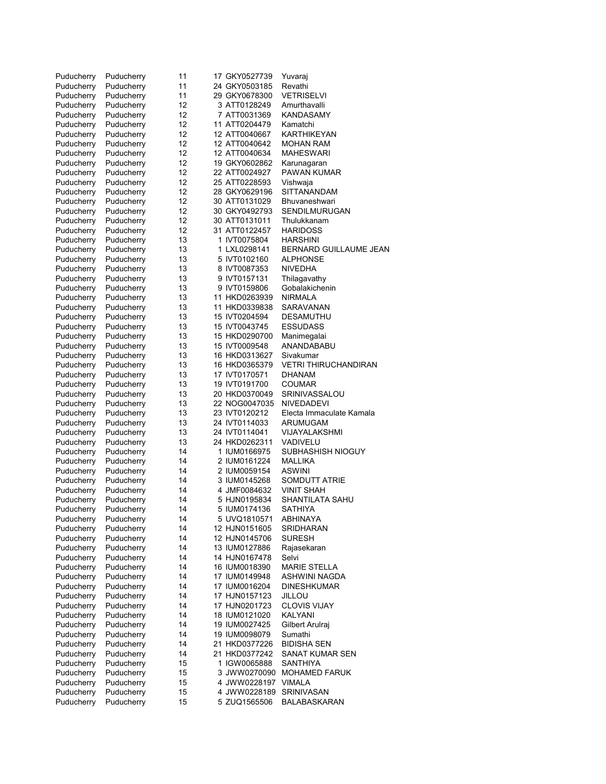| Puducherry | Puducherry | 11 | 17 GKY0527739 | Yuvarai                  |
|------------|------------|----|---------------|--------------------------|
| Puducherry | Puducherry | 11 | 24 GKY0503185 | Revathi                  |
| Puducherry | Puducherry | 11 | 29 GKY0678300 | <b>VETRISELVI</b>        |
|            | Puducherry | 12 |               |                          |
| Puducherry |            |    | 3 ATT0128249  | Amurthavalli             |
| Puducherry | Puducherry | 12 | 7 ATT0031369  | KANDASAMY                |
| Puducherry | Puducherry | 12 | 11 ATT0204479 | Kamatchi                 |
| Puducherry | Puducherry | 12 | 12 ATT0040667 | KARTHIKEYAN              |
| Puducherry | Puducherry | 12 | 12 ATT0040642 | MOHAN RAM                |
| Puducherry | Puducherry | 12 | 12 ATT0040634 | <b>MAHESWARI</b>         |
| Puducherry | Puducherry | 12 | 19 GKY0602862 | Karunagaran              |
| Puducherry | Puducherry | 12 | 22 ATT0024927 | PAWAN KUMAR              |
| Puducherry | Puducherry | 12 | 25 ATT0228593 | Vishwaja                 |
| Puducherry | Puducherry | 12 | 28 GKY0629196 | <b>SITTANANDAM</b>       |
| Puducherry | Puducherry | 12 | 30 ATT0131029 | Bhuvaneshwari            |
| Puducherry | Puducherry | 12 | 30 GKY0492793 | <b>SENDILMURUGAN</b>     |
| Puducherry | Puducherry | 12 | 30 ATT0131011 | Thulukkanam              |
|            |            |    |               |                          |
| Puducherry | Puducherry | 12 | 31 ATT0122457 | <b>HARIDOSS</b>          |
| Puducherry | Puducherry | 13 | 1 IVT0075804  | <b>HARSHINI</b>          |
| Puducherry | Puducherry | 13 | 1 LXL0298141  | BERNARD GUILLAUME JEAN   |
| Puducherry | Puducherry | 13 | 5 IVT0102160  | <b>ALPHONSE</b>          |
| Puducherry | Puducherry | 13 | 8 IVT0087353  | NIVEDHA                  |
| Puducherry | Puducherry | 13 | 9 IVT0157131  | Thilagavathy             |
| Puducherry | Puducherry | 13 | 9 IVT0159806  | Gobalakichenin           |
| Puducherry | Puducherry | 13 | 11 HKD0263939 | NIRMALA                  |
| Puducherry | Puducherry | 13 | 11 HKD0339838 | SARAVANAN                |
| Puducherry | Puducherry | 13 | 15 IVT0204594 | <b>DESAMUTHU</b>         |
| Puducherry | Puducherry | 13 | 15 IVT0043745 | <b>ESSUDASS</b>          |
| Puducherry | Puducherry | 13 | 15 HKD0290700 | Manimegalai              |
|            | Puducherry | 13 | 15 IVT0009548 | ANANDABABU               |
| Puducherry |            |    |               |                          |
| Puducherry | Puducherry | 13 | 16 HKD0313627 | Sivakumar                |
| Puducherry | Puducherry | 13 | 16 HKD0365379 | VETRI THIRUCHANDIRAN     |
| Puducherry | Puducherry | 13 | 17 IVT0170571 | <b>DHANAM</b>            |
| Puducherry | Puducherry | 13 | 19 IVT0191700 | COUMAR                   |
| Puducherry | Puducherry | 13 | 20 HKD0370049 | SRINIVASSALOU            |
| Puducherry | Puducherry | 13 | 22 NOG0047035 | <b>NIVEDADEVI</b>        |
| Puducherry | Puducherry | 13 | 23 IVT0120212 | Electa Immaculate Kamala |
| Puducherry | Puducherry | 13 | 24 IVT0114033 | ARUMUGAM                 |
| Puducherry | Puducherry | 13 | 24 IVT0114041 | VIJAYALAKSHMI            |
| Puducherry | Puducherry | 13 | 24 HKD0262311 | VADIVELU                 |
| Puducherry | Puducherry | 14 | 1 IUM0166975  | SUBHASHISH NIOGUY        |
| Puducherry | Puducherry | 14 | 2 IUM0161224  | MALLIKA                  |
| Puducherry | Puducherry | 14 | 2 IUM0059154  | ASWINI                   |
|            | Puducherry | 14 | 3 IUM0145268  | <b>SOMDUTT ATRIE</b>     |
| Puducherry |            |    |               |                          |
| Puducherry | Puducherry | 14 | 4 JMF0084632  | <b>VINIT SHAH</b>        |
| Puducherry | Puducherry | 14 | 5 HJN0195834  | <b>SHANTILATA SAHU</b>   |
| Puducherry | Puducherry | 14 | 5 IUM0174136  | SATHIYA                  |
| Puducherry | Puducherry | 14 | 5 UVQ1810571  | <b>ABHINAYA</b>          |
| Puducherry | Puducherry | 14 | 12 HJN0151605 | SRIDHARAN                |
| Puducherry | Puducherry | 14 | 12 HJN0145706 | <b>SURESH</b>            |
| Puducherry | Puducherry | 14 | 13 IUM0127886 | Rajasekaran              |
| Puducherry | Puducherry | 14 | 14 HJN0167478 | Selvi                    |
| Puducherry | Puducherry | 14 | 16 IUM0018390 | <b>MARIE STELLA</b>      |
| Puducherry | Puducherry | 14 | 17 IUM0149948 | ASHWINI NAGDA            |
| Puducherry | Puducherry | 14 | 17 IUM0016204 | <b>DINESHKUMAR</b>       |
| Puducherry | Puducherry | 14 | 17 HJN0157123 | JILLOU                   |
| Puducherry | Puducherry | 14 | 17 HJN0201723 | <b>CLOVIS VIJAY</b>      |
| Puducherry | Puducherry | 14 | 18 IUM0121020 | KALYANI                  |
|            |            |    |               |                          |
| Puducherry | Puducherry | 14 | 19 IUM0027425 | Gilbert Arulraj          |
| Puducherry | Puducherry | 14 | 19 IUM0098079 | Sumathi                  |
| Puducherry | Puducherry | 14 | 21 HKD0377226 | <b>BIDISHA SEN</b>       |
| Puducherry | Puducherry | 14 | 21 HKD0377242 | SANAT KUMAR SEN          |
| Puducherry | Puducherry | 15 | 1 IGW0065888  | SANTHIYA                 |
| Puducherry | Puducherry | 15 | 3 JWW0270090  | <b>MOHAMED FARUK</b>     |
| Puducherry | Puducherry | 15 | 4 JWW0228197  | VIMALA                   |
| Puducherry | Puducherry | 15 | 4 JWW0228189  | SRINIVASAN               |
| Puducherry | Puducherry | 15 | 5 ZUQ1565506  | BALABASKARAN             |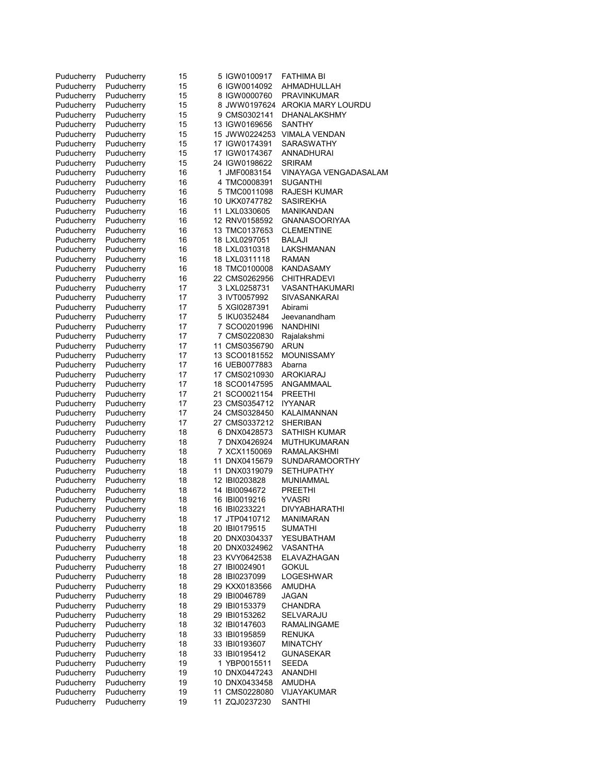| Puducherry               | Puducherry               | 15       | 5 IGW0100917                  | FATHIMA BI                    |
|--------------------------|--------------------------|----------|-------------------------------|-------------------------------|
| Puducherry               | Puducherry               | 15       | 6 IGW0014092                  | AHMADHULLAH                   |
| Puducherry               | Puducherry               | 15       | 8 IGW0000760                  | PRAVINKUMAR                   |
| Puducherry               | Puducherry               | 15       | 8 JWW0197624                  | AROKIA MARY LOURDU            |
| Puducherry               | Puducherry               | 15       | 9 CMS0302141                  | DHANALAKSHMY                  |
| Puducherry               | Puducherry               | 15       | 13 IGW0169656                 | <b>SANTHY</b>                 |
| Puducherry               | Puducherry               | 15       | 15 JWW0224253                 | <b>VIMALA VENDAN</b>          |
| Puducherry               | Puducherry               | 15       | 17 IGW0174391                 | <b>SARASWATHY</b>             |
| Puducherry               | Puducherry               | 15       | 17 IGW0174367                 | ANNADHURAI                    |
| Puducherry               | Puducherry               | 15       | 24 IGW0198622                 | SRIRAM                        |
| Puducherry               | Puducherry               | 16       | 1 JMF0083154                  | VINAYAGA VENGADASALAM         |
| Puducherry               | Puducherry               | 16       | 4 TMC0008391                  | SUGANTHI                      |
| Puducherry               | Puducherry               | 16       | 5 TMC0011098                  | RAJESH KUMAR                  |
| Puducherry               | Puducherry               | 16       | 10 UKX0747782                 | SASIREKHA                     |
| Puducherry               | Puducherry               | 16       | 11 LXL0330605                 | MANIKANDAN                    |
| Puducherry               | Puducherry               | 16       | 12 RNV0158592                 | <b>GNANASOORIYAA</b>          |
| Puducherry               | Puducherry               | 16       | 13 TMC0137653                 | <b>CLEMENTINE</b>             |
| Puducherry               | Puducherry               | 16       | 18 LXL0297051                 | BALAJI                        |
| Puducherry               | Puducherry               | 16       | 18 LXL0310318                 | LAKSHMANAN                    |
| Puducherry               | Puducherry               | 16       | 18 LXL0311118                 | RAMAN<br>KANDASAMY            |
| Puducherry               | Puducherry               | 16       | 18 TMC0100008                 |                               |
| Puducherry               | Puducherry               | 16       | 22 CMS0262956<br>3 LXL0258731 | CHITHRADEVI<br>VASANTHAKUMARI |
| Puducherry<br>Puducherry | Puducherry<br>Puducherry | 17<br>17 |                               | SIVASANKARAI                  |
|                          |                          | 17       | 3 IVT0057992<br>5 XGI0287391  | Abirami                       |
| Puducherry<br>Puducherry | Puducherry<br>Puducherry | 17       | 5 IKU0352484                  | Jeevanandham                  |
| Puducherry               | Puducherry               | 17       | 7 SCO0201996                  | <b>NANDHINI</b>               |
| Puducherry               | Puducherry               | 17       | 7 CMS0220830                  | Rajalakshmi                   |
| Puducherry               | Puducherry               | 17       | 11 CMS0356790                 | ARUN                          |
| Puducherry               | Puducherry               | 17       | 13 SCO0181552                 | MOUNISSAMY                    |
| Puducherry               | Puducherry               | 17       | 16 UEB0077883                 | Abarna                        |
| Puducherry               | Puducherry               | 17       | 17 CMS0210930                 | AROKIARAJ                     |
| Puducherry               | Puducherry               | 17       | 18 SCO0147595                 | ANGAMMAAL                     |
| Puducherry               | Puducherry               | 17       | 21 SCO0021154                 | PREETHI                       |
| Puducherry               | Puducherry               | 17       | 23 CMS0354712                 | <b>IYYANAR</b>                |
| Puducherry               | Puducherry               | 17       | 24 CMS0328450                 | KALAIMANNAN                   |
| Puducherry               | Puducherry               | 17       | 27 CMS0337212                 | SHERIBAN                      |
| Puducherry               | Puducherry               | 18       | 6 DNX0428573                  | SATHISH KUMAR                 |
| Puducherry               | Puducherry               | 18       | 7 DNX0426924                  | MUTHUKUMARAN                  |
| Puducherry               | Puducherry               | 18       | 7 XCX1150069                  | RAMALAKSHMI                   |
| Puducherry               | Puducherry               | 18       | 11 DNX0415679                 | <b>SUNDARAMOORTHY</b>         |
| Puducherry               | Puducherry               | 18       | 11 DNX0319079                 | SETHUPATHY                    |
| Puducherry               | Puducherry               | 18       | 12 IBI0203828                 | <b>MUNIAMMAL</b>              |
| Puducherry               | Puducherry               | 18       | 14 IBI0094672                 | PREETHI                       |
| Puducherry               | Puducherry               | 18       | 16 IBI0019216                 | YVASRI                        |
| Puducherry               | Puducherry               | 18       | 16 IBI0233221                 | DIVYABHARATHI                 |
| Puducherry               | Puducherry               | 18       | 17 JTP0410712                 | MANIMARAN                     |
| Puducherry               | Puducherry               | 18       | 20 IBI0179515                 | SUMATHI                       |
| Puducherry               | Puducherry               | 18       | 20 DNX0304337                 | YESUBATHAM                    |
| Puducherry               | Puducherry               | 18       | 20 DNX0324962                 | VASANTHA                      |
| Puducherry               | Puducherry               | 18       | 23 KVY0642538                 | ELAVAZHAGAN                   |
| Puducherry               | Puducherry               | 18       | 27 IBI0024901                 | <b>GOKUL</b>                  |
| Puducherry               | Puducherry               | 18       | 28 IBI0237099                 | LOGESHWAR                     |
| Puducherry               | Puducherry               | 18       | 29 KXX0183566                 | AMUDHA                        |
| Puducherry               | Puducherry               | 18       | 29 IBI0046789                 | <b>JAGAN</b>                  |
| Puducherry               | Puducherry               | 18       | 29 IBI0153379                 | CHANDRA                       |
| Puducherry               | Puducherry               | 18       | 29 IBI0153262                 | SELVARAJU                     |
| Puducherry               | Puducherry               | 18       | 32 IBI0147603                 | RAMALINGAME                   |
| Puducherry               | Puducherry               | 18       | 33 IBI0195859                 | <b>RENUKA</b>                 |
| Puducherry               | Puducherry               | 18       | 33 IBI0193607                 | MINATCHY                      |
| Puducherry<br>Puducherry | Puducherry<br>Puducherry | 18       | 33 IBI0195412                 | <b>GUNASEKAR</b><br>SEEDA     |
| Puducherry               | Puducherry               | 19<br>19 | 1 YBP0015511<br>10 DNX0447243 | ANANDHI                       |
| Puducherry               | Puducherry               | 19       | 10 DNX0433458                 | AMUDHA                        |
| Puducherry               | Puducherry               | 19       | 11 CMS0228080                 | VIJAYAKUMAR                   |
| Puducherry               | Puducherry               | 19       | 11 ZQJ0237230                 | <b>SANTHI</b>                 |
|                          |                          |          |                               |                               |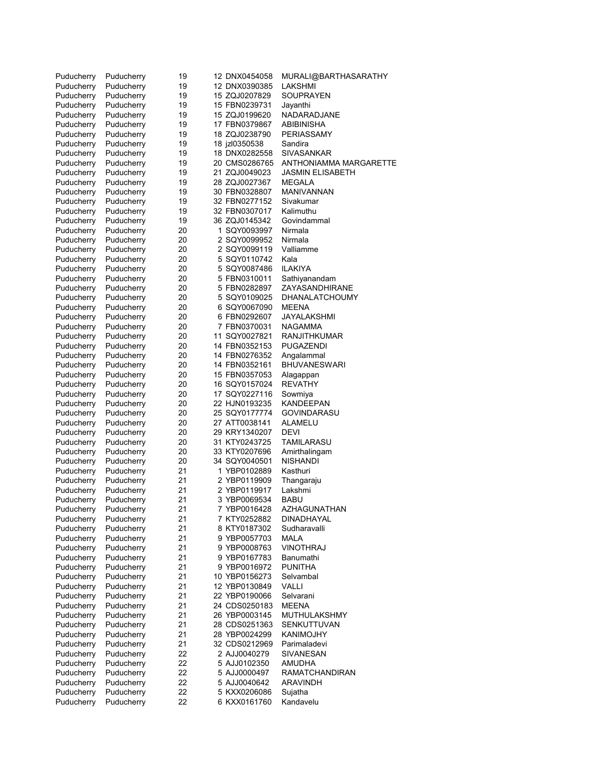| Puducherry | Puducherry | 19 | 12 DNX0454058 | MURALI@BARTHASARATHY   |
|------------|------------|----|---------------|------------------------|
| Puducherry | Puducherry | 19 | 12 DNX0390385 | LAKSHMI                |
| Puducherry | Puducherry | 19 | 15 ZQJ0207829 | SOUPRAYEN              |
| Puducherry | Puducherry | 19 | 15 FBN0239731 | Jayanthi               |
| Puducherry | Puducherry | 19 | 15 ZQJ0199620 | NADARADJANE            |
| Puducherry | Puducherry | 19 | 17 FBN0379867 | ABIBINISHA             |
| Puducherry | Puducherry | 19 | 18 ZQJ0238790 | PERIASSAMY             |
| Puducherry | Puducherry | 19 | 18 jzl0350538 | Sandira                |
|            |            |    |               |                        |
| Puducherry | Puducherry | 19 | 18 DNX0282558 | SIVASANKAR             |
| Puducherry | Puducherry | 19 | 20 CMS0286765 | ANTHONIAMMA MARGARETTE |
| Puducherry | Puducherry | 19 | 21 ZQJ0049023 | JASMIN ELISABETH       |
| Puducherry | Puducherry | 19 | 28 ZQJ0027367 | <b>MEGALA</b>          |
| Puducherry | Puducherry | 19 | 30 FBN0328807 | MANIVANNAN             |
| Puducherry | Puducherry | 19 | 32 FBN0277152 | Sivakumar              |
| Puducherry | Puducherry | 19 | 32 FBN0307017 | Kalimuthu              |
| Puducherry | Puducherry | 19 | 36 ZQJ0145342 | Govindammal            |
| Puducherry | Puducherry | 20 | 1 SQY0093997  | Nirmala                |
| Puducherry | Puducherry | 20 | 2 SQY0099952  | Nirmala                |
| Puducherry | Puducherry | 20 | 2 SQY0099119  | Valliamme              |
| Puducherry | Puducherry | 20 | 5 SQY0110742  | Kala                   |
|            |            |    |               | <b>ILAKIYA</b>         |
| Puducherry | Puducherry | 20 | 5 SQY0087486  |                        |
| Puducherry | Puducherry | 20 | 5 FBN0310011  | Sathiyanandam          |
| Puducherry | Puducherry | 20 | 5 FBN0282897  | ZAYASANDHIRANE         |
| Puducherry | Puducherry | 20 | 5 SQY0109025  | DHANALATCHOUMY         |
| Puducherry | Puducherry | 20 | 6 SQY0067090  | MEENA                  |
| Puducherry | Puducherry | 20 | 6 FBN0292607  | JAYALAKSHMI            |
| Puducherry | Puducherry | 20 | 7 FBN0370031  | <b>NAGAMMA</b>         |
| Puducherry | Puducherry | 20 | 11 SQY0027821 | RANJITHKUMAR           |
| Puducherry | Puducherry | 20 | 14 FBN0352153 | PUGAZENDI              |
| Puducherry | Puducherry | 20 | 14 FBN0276352 | Angalammal             |
| Puducherry | Puducherry | 20 | 14 FBN0352161 | <b>BHUVANESWARI</b>    |
|            |            |    |               |                        |
| Puducherry | Puducherry | 20 | 15 FBN0357053 | Alagappan              |
| Puducherry | Puducherry | 20 | 16 SQY0157024 | <b>REVATHY</b>         |
| Puducherry | Puducherry | 20 | 17 SQY0227116 | Sowmiya                |
| Puducherry | Puducherry | 20 | 22 HJN0193235 | KANDEEPAN              |
| Puducherry | Puducherry | 20 | 25 SQY0177774 | GOVINDARASU            |
| Puducherry | Puducherry | 20 | 27 ATT0038141 | ALAMELU                |
| Puducherry | Puducherry | 20 | 29 KRY1340207 | DEVI                   |
| Puducherry | Puducherry | 20 | 31 KTY0243725 | TAMILARASU             |
| Puducherry | Puducherry | 20 | 33 KTY0207696 | Amirthalingam          |
| Puducherry | Puducherry | 20 | 34 SQY0040501 | NISHANDI               |
| Puducherry | Puducherry | 21 | 1 YBP0102889  | Kasthuri               |
| Puducherry | Puducherry | 21 | 2 YBP0119909  | Thangaraju             |
|            | Puducherry |    |               | Lakshmi                |
| Puducherry |            | 21 | 2 YBP0119917  |                        |
| Puducherry | Puducherry | 21 | 3 YBP0069534  | BABU                   |
| Puducherry | Puducherry | 21 | 7 YBP0016428  | AZHAGUNATHAN           |
| Puducherry | Puducherry | 21 | 7 KTY0252882  | DINADHAYAL             |
| Puducherry | Puducherry | 21 | 8 KTY0187302  | Sudharavalli           |
| Puducherry | Puducherry | 21 | 9 YBP0057703  | MALA                   |
| Puducherry | Puducherry | 21 | 9 YBP0008763  | <b>VINOTHRAJ</b>       |
| Puducherry | Puducherry | 21 | 9 YBP0167783  | Banumathi              |
| Puducherry | Puducherry | 21 | 9 YBP0016972  | PUNITHA                |
| Puducherry | Puducherry | 21 | 10 YBP0156273 | Selvambal              |
| Puducherry | Puducherry | 21 | 12 YBP0130849 | VALLI                  |
| Puducherry | Puducherry | 21 | 22 YBP0190066 | Selvarani              |
| Puducherry | Puducherry | 21 | 24 CDS0250183 | MEENA                  |
|            |            |    |               |                        |
| Puducherry | Puducherry | 21 | 26 YBP0003145 | MUTHULAKSHMY           |
| Puducherry | Puducherry | 21 | 28 CDS0251363 | SENKUTTUVAN            |
| Puducherry | Puducherry | 21 | 28 YBP0024299 | KANIMOJHY              |
| Puducherry | Puducherry | 21 | 32 CDS0212969 | Parimaladevi           |
| Puducherry | Puducherry | 22 | 2 AJJ0040279  | SIVANESAN              |
| Puducherry | Puducherry | 22 | 5 AJJ0102350  | <b>AMUDHA</b>          |
| Puducherry | Puducherry | 22 | 5 AJJ0000497  | RAMATCHANDIRAN         |
| Puducherry | Puducherry | 22 | 5 AJJ0040642  | <b>ARAVINDH</b>        |
| Puducherry | Puducherry | 22 | 5 KXX0206086  | Sujatha                |
| Puducherry | Puducherry | 22 | 6 KXX0161760  | Kandavelu              |
|            |            |    |               |                        |